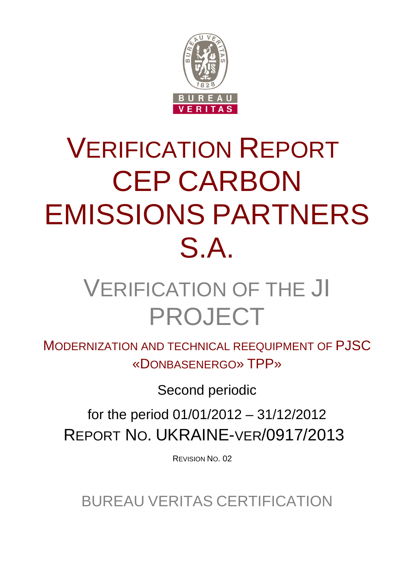

# VERIFICATION REPORT CEP CARBON EMISSIONS PARTNERS S.A.

## VERIFICATION OF THE JI PROJECT

MODERNIZATION AND TECHNICAL REEQUIPMENT OF PJSC «DONBASENERGO» TPP»

Second periodic

for the period 01/01/2012 – 31/12/2012 REPORT NO. UKRAINE-VER/0917/2013

REVISION NO. 02

BUREAU VERITAS CERTIFICATION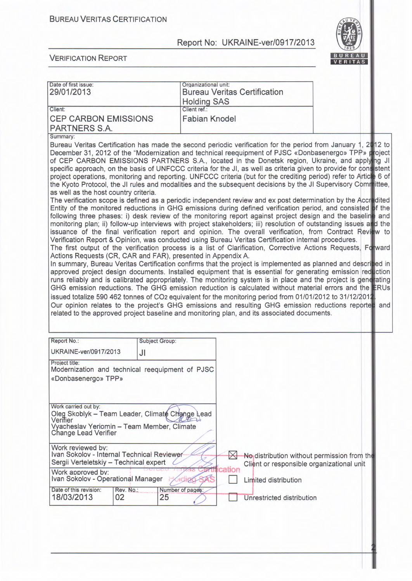

| Date of first issue:                                                                                                                                                                                                                                                                                                                                                                                                                                                                                                                                                                                                                                                                                                                                                                                                                                                                                                                                                                                                                                                                                                                                                                                                                                                                                                                                                                                                                                                                                                                                                                                                                                                                                                                                                                                                                                                                                                                                                                                                                                                                                                                                                                                                                                                                                                                                                                       |                       | Organizational unit: |           |                                     |                                                                                          |  |
|--------------------------------------------------------------------------------------------------------------------------------------------------------------------------------------------------------------------------------------------------------------------------------------------------------------------------------------------------------------------------------------------------------------------------------------------------------------------------------------------------------------------------------------------------------------------------------------------------------------------------------------------------------------------------------------------------------------------------------------------------------------------------------------------------------------------------------------------------------------------------------------------------------------------------------------------------------------------------------------------------------------------------------------------------------------------------------------------------------------------------------------------------------------------------------------------------------------------------------------------------------------------------------------------------------------------------------------------------------------------------------------------------------------------------------------------------------------------------------------------------------------------------------------------------------------------------------------------------------------------------------------------------------------------------------------------------------------------------------------------------------------------------------------------------------------------------------------------------------------------------------------------------------------------------------------------------------------------------------------------------------------------------------------------------------------------------------------------------------------------------------------------------------------------------------------------------------------------------------------------------------------------------------------------------------------------------------------------------------------------------------------------|-----------------------|----------------------|-----------|-------------------------------------|------------------------------------------------------------------------------------------|--|
| 29/01/2013                                                                                                                                                                                                                                                                                                                                                                                                                                                                                                                                                                                                                                                                                                                                                                                                                                                                                                                                                                                                                                                                                                                                                                                                                                                                                                                                                                                                                                                                                                                                                                                                                                                                                                                                                                                                                                                                                                                                                                                                                                                                                                                                                                                                                                                                                                                                                                                 |                       |                      |           | <b>Bureau Veritas Certification</b> |                                                                                          |  |
|                                                                                                                                                                                                                                                                                                                                                                                                                                                                                                                                                                                                                                                                                                                                                                                                                                                                                                                                                                                                                                                                                                                                                                                                                                                                                                                                                                                                                                                                                                                                                                                                                                                                                                                                                                                                                                                                                                                                                                                                                                                                                                                                                                                                                                                                                                                                                                                            |                       | <b>Holding SAS</b>   |           |                                     |                                                                                          |  |
| Client:                                                                                                                                                                                                                                                                                                                                                                                                                                                                                                                                                                                                                                                                                                                                                                                                                                                                                                                                                                                                                                                                                                                                                                                                                                                                                                                                                                                                                                                                                                                                                                                                                                                                                                                                                                                                                                                                                                                                                                                                                                                                                                                                                                                                                                                                                                                                                                                    |                       | Client ref.:         |           |                                     |                                                                                          |  |
| <b>CEP CARBON EMISSIONS</b>                                                                                                                                                                                                                                                                                                                                                                                                                                                                                                                                                                                                                                                                                                                                                                                                                                                                                                                                                                                                                                                                                                                                                                                                                                                                                                                                                                                                                                                                                                                                                                                                                                                                                                                                                                                                                                                                                                                                                                                                                                                                                                                                                                                                                                                                                                                                                                |                       | <b>Fabian Knodel</b> |           |                                     |                                                                                          |  |
| PARTNERS S.A.                                                                                                                                                                                                                                                                                                                                                                                                                                                                                                                                                                                                                                                                                                                                                                                                                                                                                                                                                                                                                                                                                                                                                                                                                                                                                                                                                                                                                                                                                                                                                                                                                                                                                                                                                                                                                                                                                                                                                                                                                                                                                                                                                                                                                                                                                                                                                                              |                       |                      |           |                                     |                                                                                          |  |
| Summary:                                                                                                                                                                                                                                                                                                                                                                                                                                                                                                                                                                                                                                                                                                                                                                                                                                                                                                                                                                                                                                                                                                                                                                                                                                                                                                                                                                                                                                                                                                                                                                                                                                                                                                                                                                                                                                                                                                                                                                                                                                                                                                                                                                                                                                                                                                                                                                                   |                       |                      |           |                                     |                                                                                          |  |
| Bureau Veritas Certification has made the second periodic verification for the period from January 1, 2112 to<br>December 31, 2012 of the "Modernization and technical reequipment of PJSC «Donbasenergo» TPP» project<br>of CEP CARBON EMISSIONS PARTNERS S.A., located in the Donetsk region, Ukraine, and applying JI<br>specific approach, on the basis of UNFCCC criteria for the JI, as well as criteria given to provide for consistent<br>project operations, monitoring and reporting. UNFCCC criteria (but for the crediting period) refer to Articite 6 of<br>the Kyoto Protocol, the JI rules and modalities and the subsequent decisions by the JI Supervisory Committee,<br>as well as the host country criteria.<br>The verification scope is defined as a periodic independent review and ex post determination by the Accredited<br>Entity of the monitored reductions in GHG emissions during defined verification period, and consisted of the<br>following three phases: i) desk review of the monitoring report against project design and the baseline and<br>monitoring plan; ii) follow-up interviews with project stakeholders; iii) resolution of outstanding issues and<br>issuance of the final verification report and opinion. The overall verification, from Contract Review to<br>Verification Report & Opinion, was conducted using Bureau Veritas Certification internal procedures.<br>The first output of the verification process is a list of Clarification, Corrective Actions Requests, Forward<br>Actions Requests (CR, CAR and FAR), presented in Appendix A.<br>In summary, Bureau Veritas Certification confirms that the project is implemented as planned and descrived in<br>approved project design documents. Installed equipment that is essential for generating emission reduction<br>runs reliably and is calibrated appropriately. The monitoring system is in place and the project is genetrating<br>GHG emission reductions. The GHG emission reduction is calculated without material errors and the $E$ RUs<br>issued totalize 590 462 tonnes of CO2 equivalent for the monitoring period from 01/01/2012 to 31/12/2011<br>Our opinion relates to the project's GHG emissions and resulting GHG emission reductions reporter and<br>related to the approved project baseline and monitoring plan, and its associated documents. |                       |                      |           |                                     |                                                                                          |  |
| Report No.:                                                                                                                                                                                                                                                                                                                                                                                                                                                                                                                                                                                                                                                                                                                                                                                                                                                                                                                                                                                                                                                                                                                                                                                                                                                                                                                                                                                                                                                                                                                                                                                                                                                                                                                                                                                                                                                                                                                                                                                                                                                                                                                                                                                                                                                                                                                                                                                | <b>Subject Group:</b> |                      |           |                                     |                                                                                          |  |
| UKRAINE-ver/0917/2013                                                                                                                                                                                                                                                                                                                                                                                                                                                                                                                                                                                                                                                                                                                                                                                                                                                                                                                                                                                                                                                                                                                                                                                                                                                                                                                                                                                                                                                                                                                                                                                                                                                                                                                                                                                                                                                                                                                                                                                                                                                                                                                                                                                                                                                                                                                                                                      | JI                    |                      |           |                                     |                                                                                          |  |
| Project title:<br>Modernization and technical reequipment of PJSC<br>«Donbasenergo» TPP»<br>Work carried out by:<br>Oleg Skoblyk - Team Leader, Climate Change Lead<br>Verifier                                                                                                                                                                                                                                                                                                                                                                                                                                                                                                                                                                                                                                                                                                                                                                                                                                                                                                                                                                                                                                                                                                                                                                                                                                                                                                                                                                                                                                                                                                                                                                                                                                                                                                                                                                                                                                                                                                                                                                                                                                                                                                                                                                                                            |                       |                      |           |                                     |                                                                                          |  |
| Vyacheslav Yeriomin - Team Member, Climate<br><b>Change Lead Verifier</b><br>Work reviewed by:                                                                                                                                                                                                                                                                                                                                                                                                                                                                                                                                                                                                                                                                                                                                                                                                                                                                                                                                                                                                                                                                                                                                                                                                                                                                                                                                                                                                                                                                                                                                                                                                                                                                                                                                                                                                                                                                                                                                                                                                                                                                                                                                                                                                                                                                                             |                       |                      |           |                                     |                                                                                          |  |
| Ivan Sokolov - Internal Technical Reviewer<br>Sergii Verteletskiy - Technical expert                                                                                                                                                                                                                                                                                                                                                                                                                                                                                                                                                                                                                                                                                                                                                                                                                                                                                                                                                                                                                                                                                                                                                                                                                                                                                                                                                                                                                                                                                                                                                                                                                                                                                                                                                                                                                                                                                                                                                                                                                                                                                                                                                                                                                                                                                                       |                       |                      | $\bowtie$ |                                     | No distribution without permission from the<br>Client or responsible organizational unit |  |
| Work approved by:<br>Ivan Sokolov - Operational Manager                                                                                                                                                                                                                                                                                                                                                                                                                                                                                                                                                                                                                                                                                                                                                                                                                                                                                                                                                                                                                                                                                                                                                                                                                                                                                                                                                                                                                                                                                                                                                                                                                                                                                                                                                                                                                                                                                                                                                                                                                                                                                                                                                                                                                                                                                                                                    |                       | $\alpha$ dino        | cation    | Limited distribution                |                                                                                          |  |
| Date of this revision:<br>Rev. No.:<br>18/03/2013<br>02                                                                                                                                                                                                                                                                                                                                                                                                                                                                                                                                                                                                                                                                                                                                                                                                                                                                                                                                                                                                                                                                                                                                                                                                                                                                                                                                                                                                                                                                                                                                                                                                                                                                                                                                                                                                                                                                                                                                                                                                                                                                                                                                                                                                                                                                                                                                    | 25                    | Number of pages:     |           | Unrestricted distribution           |                                                                                          |  |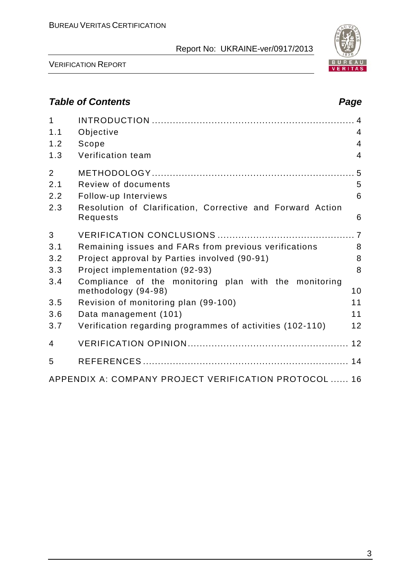

VERIFICATION REPORT

## *Table of Contents Page*

| $\mathbf{1}$<br>1.1 | Objective                                                                    | 4              |
|---------------------|------------------------------------------------------------------------------|----------------|
| 1.2                 | Scope                                                                        | $\overline{4}$ |
| 1.3                 | Verification team                                                            | $\overline{4}$ |
| $\overline{2}$      |                                                                              |                |
| 2.1                 | Review of documents                                                          | 5              |
| 2.2                 | Follow-up Interviews                                                         | 6              |
| 2.3                 | Resolution of Clarification, Corrective and Forward Action<br>Requests       | 6              |
| 3                   |                                                                              |                |
| 3.1                 | Remaining issues and FARs from previous verifications                        | 8              |
| 3.2                 | Project approval by Parties involved (90-91)                                 | 8              |
| 3.3                 | Project implementation (92-93)                                               | 8              |
| 3.4                 | Compliance of the monitoring plan with the monitoring<br>methodology (94-98) | 10             |
| 3.5                 | Revision of monitoring plan (99-100)                                         | 11             |
| 3.6                 | Data management (101)                                                        | 11             |
| 3.7                 | Verification regarding programmes of activities (102-110)                    | 12             |
| $\overline{4}$      |                                                                              |                |
| 5                   |                                                                              |                |
|                     | APPENDIX A: COMPANY PROJECT VERIFICATION PROTOCOL  16                        |                |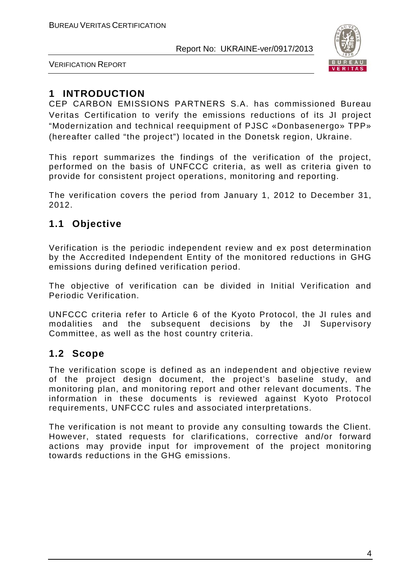

VERIFICATION REPORT

## **1 INTRODUCTION**

CEP CARBON EMISSIONS PARTNERS S.A. has commissioned Bureau Veritas Certification to verify the emissions reductions of its JI project "Modernization and technical reequipment of PJSC «Donbasenergo» TPP» (hereafter called "the project") located in the Donetsk region, Ukraine.

This report summarizes the findings of the verification of the project, performed on the basis of UNFCCC criteria, as well as criteria given to provide for consistent project operations, monitoring and reporting.

The verification covers the period from January 1, 2012 to December 31, 2012.

## **1.1 Objective**

Verification is the periodic independent review and ex post determination by the Accredited Independent Entity of the monitored reductions in GHG emissions during defined verification period.

The objective of verification can be divided in Initial Verification and Periodic Verification.

UNFCCC criteria refer to Article 6 of the Kyoto Protocol, the JI rules and modalities and the subsequent decisions by the JI Supervisory Committee, as well as the host country criteria.

#### **1.2 Scope**

The verification scope is defined as an independent and objective review of the project design document, the project's baseline study, and monitoring plan, and monitoring report and other relevant documents. The information in these documents is reviewed against Kyoto Protocol requirements, UNFCCC rules and associated interpretations.

The verification is not meant to provide any consulting towards the Client. However, stated requests for clarifications, corrective and/or forward actions may provide input for improvement of the project monitoring towards reductions in the GHG emissions.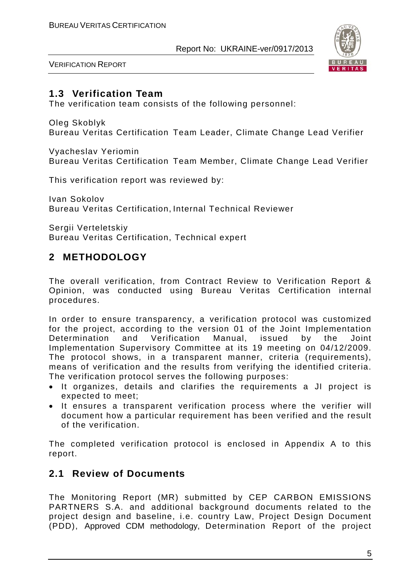

VERIFICATION REPORT

#### **1.3 Verification Team**

The verification team consists of the following personnel:

Oleg Skoblyk

Bureau Veritas Certification Team Leader, Climate Change Lead Verifier

Vyacheslav Yeriomin Bureau Veritas Certification Team Member, Climate Change Lead Verifier

This verification report was reviewed by:

Ivan Sokolov Bureau Veritas Certification, Internal Technical Reviewer

Sergii Verteletskiy Bureau Veritas Certification, Technical expert

## **2 METHODOLOGY**

The overall verification, from Contract Review to Verification Report & Opinion, was conducted using Bureau Veritas Certification internal procedures.

In order to ensure transparency, a verification protocol was customized for the project, according to the version 01 of the Joint Implementation<br>Determination and Verification Manual, issued by the Joint Determination and Verification Manual, issued by the Implementation Supervisory Committee at its 19 meeting on 04/12/2009. The protocol shows, in a transparent manner, criteria (requirements), means of verification and the results from verifying the identified criteria. The verification protocol serves the following purposes:

- It organizes, details and clarifies the requirements a JI project is expected to meet;
- It ensures a transparent verification process where the verifier will document how a particular requirement has been verified and the result of the verification.

The completed verification protocol is enclosed in Appendix A to this report.

## **2.1 Review of Documents**

The Monitoring Report (MR) submitted by CEP CARBON EMISSIONS PARTNERS S.A. and additional background documents related to the project design and baseline, i.e. country Law, Project Design Document (PDD), Approved CDM methodology, Determination Report of the project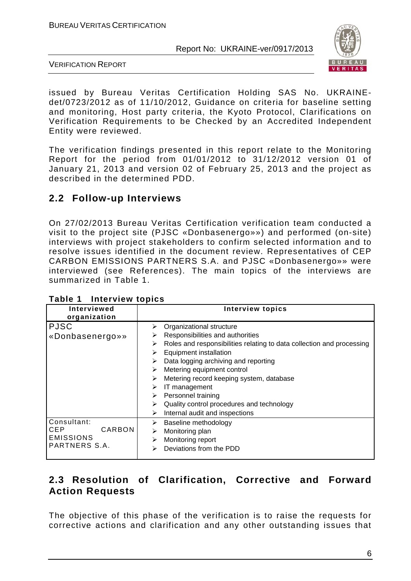

VERIFICATION REPORT

issued by Bureau Veritas Certification Holding SAS No. UKRAINEdet/0723/2012 as of 11/10/2012, Guidance on criteria for baseline setting and monitoring, Host party criteria, the Kyoto Protocol, Clarifications on Verification Requirements to be Checked by an Accredited Independent Entity were reviewed.

The verification findings presented in this report relate to the Monitoring Report for the period from 01/01/2012 to 31/12/2012 version 01 of January 21, 2013 and version 02 of February 25, 2013 and the project as described in the determined PDD.

#### **2.2 Follow-up Interviews**

On 27/02/2013 Bureau Veritas Certification verification team conducted a visit to the project site (PJSC «Donbasenergo»») and performed (on-site) interviews with project stakeholders to confirm selected information and to resolve issues identified in the document review. Representatives of CEP CARBON EMISSIONS PARTNERS S.A. and PJSC «Donbasenergo»» were interviewed (see References). The main topics of the interviews are summarized in Table 1.

| .<br>$\cdots$                                                     |                                                                                                                                                                                                                                                                                                                                                                                                                                                                       |
|-------------------------------------------------------------------|-----------------------------------------------------------------------------------------------------------------------------------------------------------------------------------------------------------------------------------------------------------------------------------------------------------------------------------------------------------------------------------------------------------------------------------------------------------------------|
| Interviewed<br>organization                                       | <b>Interview topics</b>                                                                                                                                                                                                                                                                                                                                                                                                                                               |
| <b>PJSC</b><br>«Donbasenergo»»                                    | Organizational structure<br>⋗<br>Responsibilities and authorities<br>⋗<br>Roles and responsibilities relating to data collection and processing<br>⋗<br><b>Equipment installation</b><br>➤<br>Data logging archiving and reporting<br>➤<br>Metering equipment control<br>➤<br>Metering record keeping system, database<br>⋗<br>IT management<br>⋗<br>Personnel training<br>⋗<br>Quality control procedures and technology<br>⋗<br>Internal audit and inspections<br>➤ |
| Consultant:<br>CARBON<br>CEP<br><b>EMISSIONS</b><br>PARTNERS S.A. | Baseline methodology<br>➤<br>Monitoring plan<br>➤<br>Monitoring report<br>⋗<br>Deviations from the PDD<br>⋗                                                                                                                                                                                                                                                                                                                                                           |

| Table 1<br>Interview topics |  |
|-----------------------------|--|
|-----------------------------|--|

## **2.3 Resolution of Clarification, Corrective and Forward Action Requests**

The objective of this phase of the verification is to raise the requests for corrective actions and clarification and any other outstanding issues that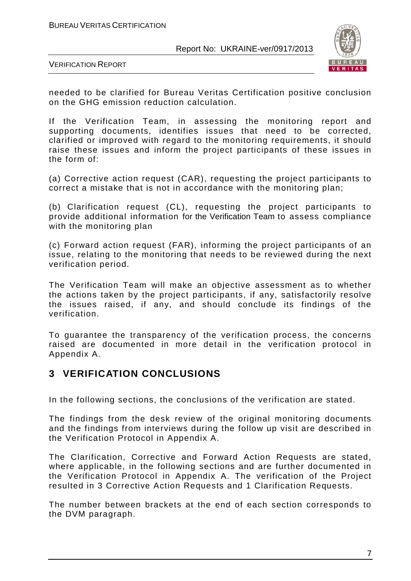

VERIFICATION REPORT

needed to be clarified for Bureau Veritas Certification positive conclusion on the GHG emission reduction calculation.

If the Verification Team, in assessing the monitoring report and supporting documents, identifies issues that need to be corrected, clarified or improved with regard to the monitoring requirements, it should raise these issues and inform the project participants of these issues in the form of:

(a) Corrective action request (CAR), requesting the project participants to correct a mistake that is not in accordance with the monitoring plan;

(b) Clarification request (CL), requesting the project participants to provide additional information for the Verification Team to assess compliance with the monitoring plan

(c) Forward action request (FAR), informing the project participants of an issue, relating to the monitoring that needs to be reviewed during the next verification period.

The Verification Team will make an objective assessment as to whether the actions taken by the project participants, if any, satisfactorily resolve the issues raised, if any, and should conclude its findings of the verification.

To guarantee the transparency of the verification process, the concerns raised are documented in more detail in the verification protocol in Appendix A.

#### **3 VERIFICATION CONCLUSIONS**

In the following sections, the conclusions of the verification are stated.

The findings from the desk review of the original monitoring documents and the findings from interviews during the follow up visit are described in the Verification Protocol in Appendix A.

The Clarification, Corrective and Forward Action Requests are stated, where applicable, in the following sections and are further documented in the Verification Protocol in Appendix A. The verification of the Project resulted in 3 Corrective Action Requests and 1 Clarification Requests.

The number between brackets at the end of each section corresponds to the DVM paragraph.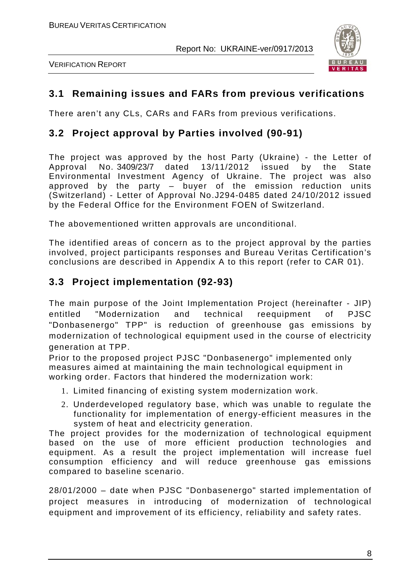



## **3.1 Remaining issues and FARs from previous verifications**

There aren't any CLs, CARs and FARs from previous verifications.

#### **3.2 Project approval by Parties involved (90-91)**

The project was approved by the host Party (Ukraine) - the Letter of Approval No. 3409/23/7 dated 13/11/2012 issued by the State Environmental Investment Agency of Ukraine. The project was also approved by the party – buyer of the emission reduction units (Switzerland) - Letter of Approval No.J294-0485 dated 24/10/2012 issued by the Federal Office for the Environment FOEN of Switzerland.

The abovementioned written approvals are unconditional.

The identified areas of concern as to the project approval by the parties involved, project participants responses and Bureau Veritas Certification's conclusions are described in Appendix A to this report (refer to CAR 01).

#### **3.3 Project implementation (92-93)**

The main purpose of the Joint Implementation Project (hereinafter - JIP) entitled "Modernization and technical reequipment of PJSC "Donbasenergo" TPP" is reduction of greenhouse gas emissions by modernization of technological equipment used in the course of electricity generation at TPP.

Prior to the proposed project PJSC "Donbasenergo" implemented only measures aimed at maintaining the main technological equipment in working order. Factors that hindered the modernization work:

- 1. Limited financing of existing system modernization work.
- 2. Underdeveloped regulatory base, which was unable to regulate the functionality for implementation of energy-efficient measures in the system of heat and electricity generation.

The project provides for the modernization of technological equipment based on the use of more efficient production technologies and equipment. As a result the project implementation will increase fuel consumption efficiency and will reduce greenhouse gas emissions compared to baseline scenario.

28/01/2000 – date when PJSC "Donbasenergo" started implementation of project measures in introducing of modernization of technological equipment and improvement of its efficiency, reliability and safety rates.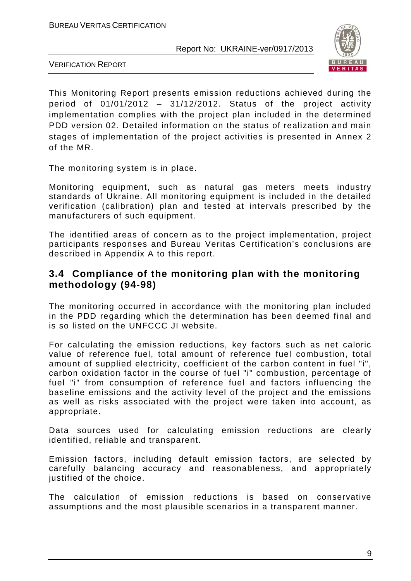

VERIFICATION REPORT

This Monitoring Report presents emission reductions achieved during the period of 01/01/2012 – 31/12/2012. Status of the project activity implementation complies with the project plan included in the determined PDD version 02. Detailed information on the status of realization and main stages of implementation of the project activities is presented in Annex 2 of the MR.

The monitoring system is in place.

Monitoring equipment, such as natural gas meters meets industry standards of Ukraine. All monitoring equipment is included in the detailed verification (calibration) plan and tested at intervals prescribed by the manufacturers of such equipment.

The identified areas of concern as to the project implementation, project participants responses and Bureau Veritas Certification's conclusions are described in Appendix A to this report.

#### **3.4 Compliance of the monitoring plan with the monitoring methodology (94-98)**

The monitoring occurred in accordance with the monitoring plan included in the PDD regarding which the determination has been deemed final and is so listed on the UNFCCC JI website.

For calculating the emission reductions, key factors such as net caloric value of reference fuel, total amount of reference fuel combustion, total amount of supplied electricity, coefficient of the carbon content in fuel "i", carbon oxidation factor in the course of fuel "i" combustion, percentage of fuel "i" from consumption of reference fuel and factors influencing the baseline emissions and the activity level of the project and the emissions as well as risks associated with the project were taken into account, as appropriate.

Data sources used for calculating emission reductions are clearly identified, reliable and transparent.

Emission factors, including default emission factors, are selected by carefully balancing accuracy and reasonableness, and appropriately justified of the choice.

The calculation of emission reductions is based on conservative assumptions and the most plausible scenarios in a transparent manner.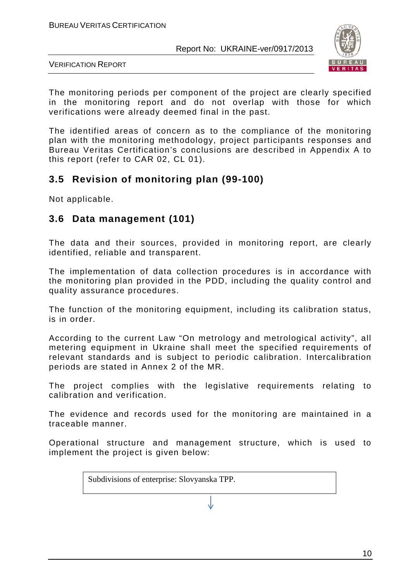

VERIFICATION REPORT

The monitoring periods per component of the project are clearly specified in the monitoring report and do not overlap with those for which verifications were already deemed final in the past.

The identified areas of concern as to the compliance of the monitoring plan with the monitoring methodology, project participants responses and Bureau Veritas Certification's conclusions are described in Appendix A to this report (refer to CAR 02, CL 01).

#### **3.5 Revision of monitoring plan (99-100)**

Not applicable.

#### **3.6 Data management (101)**

The data and their sources, provided in monitoring report, are clearly identified, reliable and transparent.

The implementation of data collection procedures is in accordance with the monitoring plan provided in the PDD, including the quality control and quality assurance procedures.

The function of the monitoring equipment, including its calibration status, is in order.

According to the current Law "On metrology and metrological activity", all metering equipment in Ukraine shall meet the specified requirements of relevant standards and is subject to periodic calibration. Intercalibration periods are stated in Annex 2 of the MR.

The project complies with the legislative requirements relating to calibration and verification.

The evidence and records used for the monitoring are maintained in a traceable manner.

Operational structure and management structure, which is used to implement the project is given below:

Subdivisions of enterprise: Slovyanska TPP.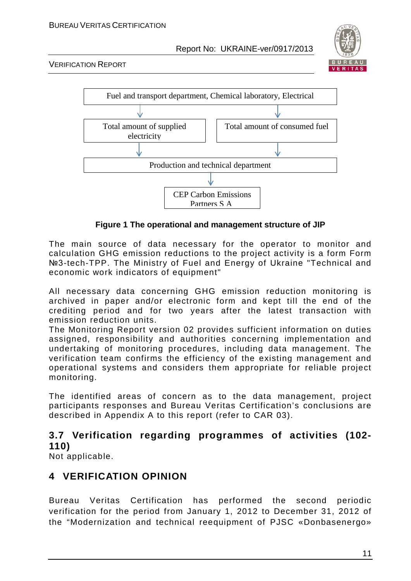

VERIFICATION REPORT



**Figure 1 The operational and management structure of JIP**

The main source of data necessary for the operator to monitor and calculation GHG emission reductions to the project activity is a form Form №3-tech-TPP. The Ministry of Fuel and Energy of Ukraine "Technical and economic work indicators of equipment"

All necessary data concerning GHG emission reduction monitoring is archived in paper and/or electronic form and kept till the end of the crediting period and for two years after the latest transaction with emission reduction units.

The Monitoring Report version 02 provides sufficient information on duties assigned, responsibility and authorities concerning implementation and undertaking of monitoring procedures, including data management. The verification team confirms the efficiency of the existing management and operational systems and considers them appropriate for reliable project monitoring.

The identified areas of concern as to the data management, project participants responses and Bureau Veritas Certification's conclusions are described in Appendix A to this report (refer to CAR 03).

## **3.7 Verification regarding programmes of activities (102- 110)**

Not applicable.

## **4 VERIFICATION OPINION**

Bureau Veritas Certification has performed the second periodic verification for the period from January 1, 2012 to December 31, 2012 of the "Modernization and technical reequipment of PJSC «Donbasenergo»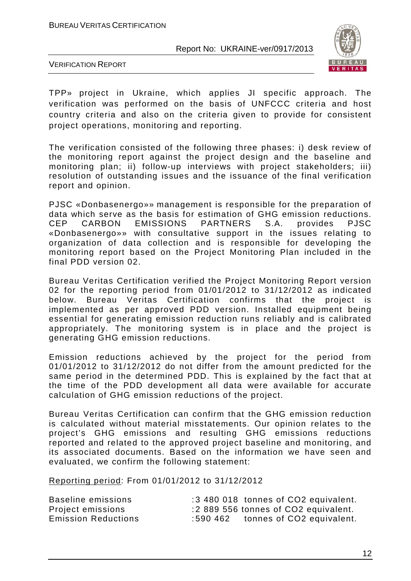

VERIFICATION REPORT

TPP» project in Ukraine, which applies JI specific approach. The verification was performed on the basis of UNFCCC criteria and host country criteria and also on the criteria given to provide for consistent project operations, monitoring and reporting.

The verification consisted of the following three phases: i) desk review of the monitoring report against the project design and the baseline and monitoring plan; ii) follow-up interviews with project stakeholders; iii) resolution of outstanding issues and the issuance of the final verification report and opinion.

PJSC «Donbasenergo»» management is responsible for the preparation of data which serve as the basis for estimation of GHG emission reductions.<br>CEP CARBON EMISSIONS PARTNERS S.A. provides PJSC **PARTNERS** «Donbasenergo»» with consultative support in the issues relating to organization of data collection and is responsible for developing the monitoring report based on the Project Monitoring Plan included in the final PDD version 02.

Bureau Veritas Certification verified the Project Monitoring Report version 02 for the reporting period from 01/01/2012 to 31/12/2012 as indicated below. Bureau Veritas Certification confirms that the project is implemented as per approved PDD version. Installed equipment being essential for generating emission reduction runs reliably and is calibrated appropriately. The monitoring system is in place and the project is generating GHG emission reductions.

Emission reductions achieved by the project for the period from 01/01/2012 to 31/12/2012 do not differ from the amount predicted for the same period in the determined PDD. This is explained by the fact that at the time of the PDD development all data were available for accurate calculation of GHG emission reductions of the project.

Bureau Veritas Certification can confirm that the GHG emission reduction is calculated without material misstatements. Our opinion relates to the project's GHG emissions and resulting GHG emissions reductions reported and related to the approved project baseline and monitoring, and its associated documents. Based on the information we have seen and evaluated, we confirm the following statement:

Reporting period: From 01/01/2012 to 31/12/2012

| Baseline emissions         |          | :3 480 018 tonnes of CO2 equivalent. |
|----------------------------|----------|--------------------------------------|
| Project emissions          |          | :2 889 556 tonnes of CO2 equivalent. |
| <b>Emission Reductions</b> | ∶590 462 | tonnes of CO2 equivalent.            |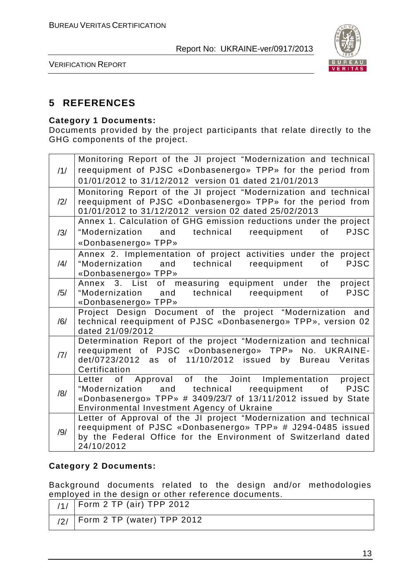

VERIFICATION REPORT

#### **5 REFERENCES**

#### **Category 1 Documents:**

Documents provided by the project participants that relate directly to the GHG components of the project.

| /1/            | Monitoring Report of the JI project "Modernization and technical<br>reequipment of PJSC «Donbasenergo» TPP» for the period from<br>01/01/2012 to 31/12/2012 version 01 dated 21/01/2013                                            |
|----------------|------------------------------------------------------------------------------------------------------------------------------------------------------------------------------------------------------------------------------------|
| /2/            | Monitoring Report of the JI project "Modernization and technical<br>reequipment of PJSC «Donbasenergo» TPP» for the period from<br>01/01/2012 to 31/12/2012 version 02 dated 25/02/2013                                            |
| /3/            | Annex 1. Calculation of GHG emission reductions under the project<br>"Modernization and technical reequipment<br>of the control<br><b>PJSC</b><br>«Donbasenergo» TPP»                                                              |
| $\frac{14}{1}$ | Annex 2. Implementation of project activities under the project<br>"Modernization and technical reequipment<br>of l<br><b>PJSC</b><br>«Donbasenergo» TPP»                                                                          |
| /5/            | Annex 3. List of measuring equipment under the project<br>"Modernization and technical reequipment<br><b>PJSC</b><br>of<br>«Donbasenergo» TPP»                                                                                     |
| /6/            | Project Design Document of the project "Modernization and<br>technical reequipment of PJSC «Donbasenergo» TPP», version 02<br>dated 21/09/2012                                                                                     |
| 7              | Determination Report of the project "Modernization and technical<br>reequipment of PJSC «Donbasenergo» TPP» No. UKRAINE-<br>det/0723/2012 as of 11/10/2012 issued by Bureau Veritas<br>Certification                               |
| /8/            | of Approval of the Joint Implementation project<br>Letter<br>of PJSC<br>and technical reequipment<br>"Modernization<br>«Donbasenergo» TPP» # 3409/23/7 of 13/11/2012 issued by State<br>Environmental Investment Agency of Ukraine |
| /9/            | Letter of Approval of the JI project "Modernization and technical<br>reequipment of PJSC «Donbasenergo» TPP» # J294-0485 issued<br>by the Federal Office for the Environment of Switzerland dated<br>24/10/2012                    |

#### **Category 2 Documents:**

Background documents related to the design and/or methodologies employed in the design or other reference documents.

| $11/1$ Form 2 TP (air) TPP 2012      |
|--------------------------------------|
| $'$ /2/   Form 2 TP (water) TPP 2012 |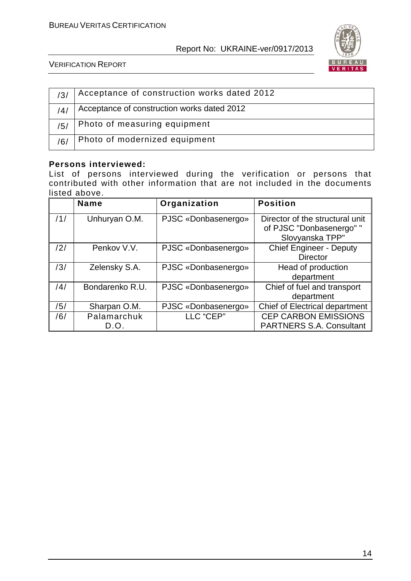

VERIFICATION REPORT

| /3/ | Acceptance of construction works dated 2012 |
|-----|---------------------------------------------|
| /4/ | Acceptance of construction works dated 2012 |
| /5/ | Photo of measuring equipment                |
| /6/ | Photo of modernized equipment               |

#### **Persons interviewed:**

List of persons interviewed during the verification or persons that contributed with other information that are not included in the documents listed above.

|     | Name                | Organization        | <b>Position</b>                                                                |
|-----|---------------------|---------------------|--------------------------------------------------------------------------------|
| /1/ | Unhuryan O.M.       | PJSC «Donbasenergo» | Director of the structural unit<br>of PJSC "Donbasenergo" "<br>Slovyanska TPP" |
| /2/ | Penkov V.V.         | PJSC «Donbasenergo» | <b>Chief Engineer - Deputy</b><br><b>Director</b>                              |
| /3/ | Zelensky S.A.       | PJSC «Donbasenergo» | Head of production<br>department                                               |
| /4/ | Bondarenko R.U.     | PJSC «Donbasenergo» | Chief of fuel and transport<br>department                                      |
| /5/ | Sharpan O.M.        | PJSC «Donbasenergo» | <b>Chief of Electrical department</b>                                          |
| /6/ | Palamarchuk<br>D.O. | LLC "CEP"           | <b>CEP CARBON EMISSIONS</b><br><b>PARTNERS S.A. Consultant</b>                 |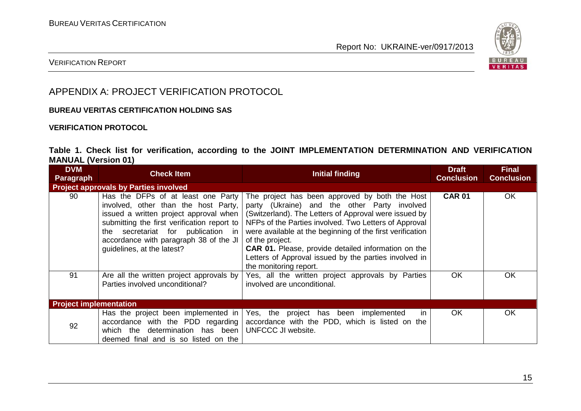

#### VERIFICATION REPORT

#### APPENDIX A: PROJECT VERIFICATION PROTOCOL

#### **BUREAU VERITAS CERTIFICATION HOLDING SAS**

#### **VERIFICATION PROTOCOL**

#### **Table 1. Check list for verification, according to the JOINT IMPLEMENTATION DETERMINATION AND VERIFICATION MANUAL (Version 01)**

| <b>DVM</b><br>Paragraph                      | <b>Check Item</b>                                                                                             | Initial finding                                                                                                                                                                                                                                                                                                                                                                                                                                                                                                                                                                                                          | <b>Draft</b><br><b>Conclusion</b> | <b>Final</b><br><b>Conclusion</b> |
|----------------------------------------------|---------------------------------------------------------------------------------------------------------------|--------------------------------------------------------------------------------------------------------------------------------------------------------------------------------------------------------------------------------------------------------------------------------------------------------------------------------------------------------------------------------------------------------------------------------------------------------------------------------------------------------------------------------------------------------------------------------------------------------------------------|-----------------------------------|-----------------------------------|
| <b>Project approvals by Parties involved</b> |                                                                                                               |                                                                                                                                                                                                                                                                                                                                                                                                                                                                                                                                                                                                                          |                                   |                                   |
| 90                                           | secretariat for publication in<br>the<br>accordance with paragraph 38 of the JI<br>guidelines, at the latest? | Has the DFPs of at least one Party   The project has been approved by both the Host<br>involved, other than the host Party, party (Ukraine) and the other Party involved<br>issued a written project approval when $\vert$ (Switzerland). The Letters of Approval were issued by<br>submitting the first verification report to   NFPs of the Parties involved. Two Letters of Approval<br>were available at the beginning of the first verification<br>of the project.<br><b>CAR 01.</b> Please, provide detailed information on the<br>Letters of Approval issued by the parties involved in<br>the monitoring report. | <b>CAR 01</b>                     | <b>OK</b>                         |
| 91                                           | Are all the written project approvals by<br>Parties involved unconditional?                                   | Yes, all the written project approvals by Parties<br>involved are unconditional.                                                                                                                                                                                                                                                                                                                                                                                                                                                                                                                                         | <b>OK</b>                         | OK                                |
| <b>Project implementation</b>                |                                                                                                               |                                                                                                                                                                                                                                                                                                                                                                                                                                                                                                                                                                                                                          |                                   |                                   |
| 92                                           | which the determination has been<br>deemed final and is so listed on the                                      | Has the project been implemented in Yes, the project has been implemented<br>in<br>accordance with the PDD regarding accordance with the PDD, which is listed on the<br>UNFCCC JI website.                                                                                                                                                                                                                                                                                                                                                                                                                               | <b>OK</b>                         | OK                                |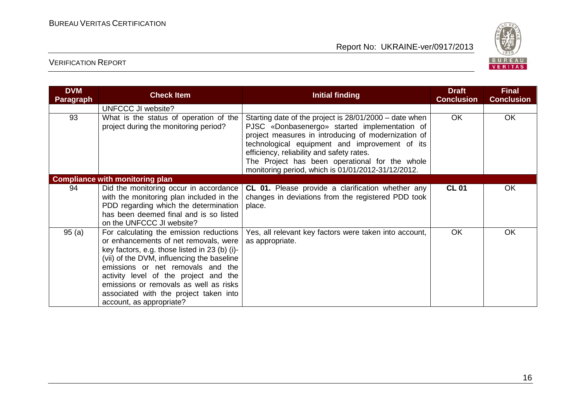

| <b>DVM</b><br><b>Paragraph</b> | <b>Check Item</b>                                                                                                                                                                                                                                                                                                                                                             | <b>Initial finding</b>                                                                                                                                                                                                                                                                                                                                                | <b>Draft</b><br><b>Conclusion</b> | <b>Final</b><br><b>Conclusion</b> |
|--------------------------------|-------------------------------------------------------------------------------------------------------------------------------------------------------------------------------------------------------------------------------------------------------------------------------------------------------------------------------------------------------------------------------|-----------------------------------------------------------------------------------------------------------------------------------------------------------------------------------------------------------------------------------------------------------------------------------------------------------------------------------------------------------------------|-----------------------------------|-----------------------------------|
|                                | UNFCCC JI website?                                                                                                                                                                                                                                                                                                                                                            |                                                                                                                                                                                                                                                                                                                                                                       |                                   |                                   |
| 93                             | What is the status of operation of the<br>project during the monitoring period?                                                                                                                                                                                                                                                                                               | Starting date of the project is 28/01/2000 – date when<br>PJSC «Donbasenergo» started implementation of<br>project measures in introducing of modernization of<br>technological equipment and improvement of its<br>efficiency, reliability and safety rates.<br>The Project has been operational for the whole<br>monitoring period, which is 01/01/2012-31/12/2012. | <b>OK</b>                         | <b>OK</b>                         |
|                                | <b>Compliance with monitoring plan</b>                                                                                                                                                                                                                                                                                                                                        |                                                                                                                                                                                                                                                                                                                                                                       |                                   |                                   |
| 94                             | Did the monitoring occur in accordance<br>with the monitoring plan included in the<br>PDD regarding which the determination<br>has been deemed final and is so listed<br>on the UNFCCC JI website?                                                                                                                                                                            | <b>CL 01.</b> Please provide a clarification whether any<br>changes in deviations from the registered PDD took<br>place.                                                                                                                                                                                                                                              | <b>CL 01</b>                      | OK.                               |
| 95(a)                          | For calculating the emission reductions<br>or enhancements of net removals, were<br>key factors, e.g. those listed in 23 (b) (i)-<br>(vii) of the DVM, influencing the baseline<br>emissions or net removals and the<br>activity level of the project and the<br>emissions or removals as well as risks<br>associated with the project taken into<br>account, as appropriate? | Yes, all relevant key factors were taken into account,<br>as appropriate.                                                                                                                                                                                                                                                                                             | <b>OK</b>                         | <b>OK</b>                         |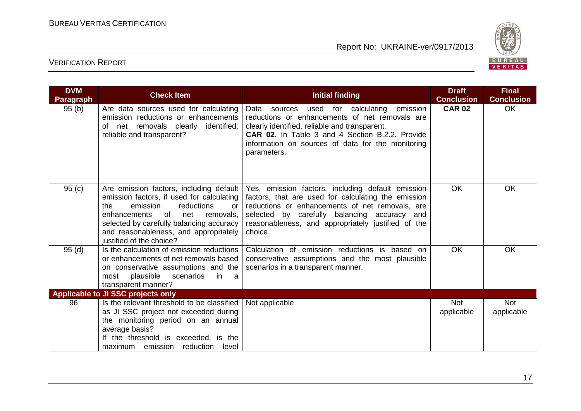

| <b>DVM</b><br>Paragraph | <b>Check Item</b>                                                                                                                                                                                                                                                                      | <b>Initial finding</b>                                                                                                                                                                                                                                                            | <b>Draft</b><br><b>Conclusion</b> | <b>Final</b><br><b>Conclusion</b> |
|-------------------------|----------------------------------------------------------------------------------------------------------------------------------------------------------------------------------------------------------------------------------------------------------------------------------------|-----------------------------------------------------------------------------------------------------------------------------------------------------------------------------------------------------------------------------------------------------------------------------------|-----------------------------------|-----------------------------------|
| 95(b)                   | Are data sources used for calculating<br>emission reductions or enhancements<br>of net removals clearly identified,<br>reliable and transparent?                                                                                                                                       | used for calculating<br>Data sources<br>emission<br>reductions or enhancements of net removals are<br>clearly identified, reliable and transparent.<br><b>CAR 02.</b> In Table 3 and 4 Section B.2.2. Provide<br>information on sources of data for the monitoring<br>parameters. | <b>CAR 02</b>                     | OK                                |
| 95(c)                   | Are emission factors, including default<br>emission factors, if used for calculating<br>the<br>emission<br>reductions<br>or<br>of<br>enhancements<br>net<br>removals,<br>selected by carefully balancing accuracy<br>and reasonableness, and appropriately<br>justified of the choice? | Yes, emission factors, including default emission<br>factors, that are used for calculating the emission<br>reductions or enhancements of net removals, are<br>selected by carefully balancing accuracy and<br>reasonableness, and appropriately justified of the<br>choice.      | <b>OK</b>                         | <b>OK</b>                         |
| 95(d)                   | Is the calculation of emission reductions<br>or enhancements of net removals based<br>on conservative assumptions and the<br>plausible<br>scenarios<br>most<br>in.<br>a a<br>transparent manner?                                                                                       | Calculation of emission reductions is based on<br>conservative assumptions and the most plausible<br>scenarios in a transparent manner.                                                                                                                                           | <b>OK</b>                         | <b>OK</b>                         |
|                         | Applicable to JI SSC projects only                                                                                                                                                                                                                                                     |                                                                                                                                                                                                                                                                                   |                                   |                                   |
| 96                      | Is the relevant threshold to be classified<br>as JI SSC project not exceeded during<br>the monitoring period on an annual<br>average basis?<br>If the threshold is exceeded, is the<br>maximum emission reduction<br>level                                                             | Not applicable                                                                                                                                                                                                                                                                    | <b>Not</b><br>applicable          | <b>Not</b><br>applicable          |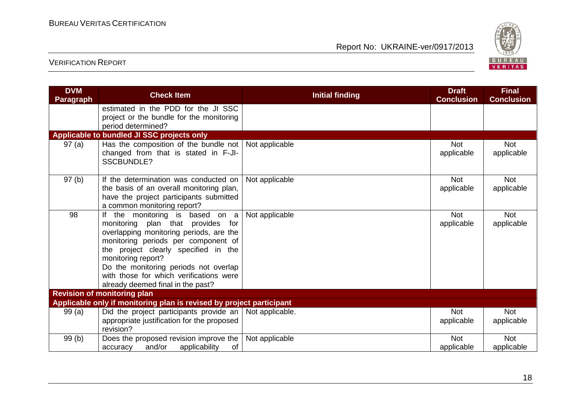

| <b>DVM</b><br><b>Paragraph</b>     | <b>Check Item</b>                                                                                                                                                                                                                                                                                                                                   | <b>Initial finding</b> | <b>Draft</b><br><b>Conclusion</b> | <b>Final</b><br><b>Conclusion</b> |  |  |
|------------------------------------|-----------------------------------------------------------------------------------------------------------------------------------------------------------------------------------------------------------------------------------------------------------------------------------------------------------------------------------------------------|------------------------|-----------------------------------|-----------------------------------|--|--|
|                                    | estimated in the PDD for the JI SSC<br>project or the bundle for the monitoring<br>period determined?                                                                                                                                                                                                                                               |                        |                                   |                                   |  |  |
|                                    | Applicable to bundled JI SSC projects only                                                                                                                                                                                                                                                                                                          |                        |                                   |                                   |  |  |
| 97(a)                              | Has the composition of the bundle not<br>changed from that is stated in F-JI-<br>SSCBUNDLE?                                                                                                                                                                                                                                                         | Not applicable         | <b>Not</b><br>applicable          | <b>Not</b><br>applicable          |  |  |
| 97(b)                              | If the determination was conducted on<br>the basis of an overall monitoring plan,<br>have the project participants submitted<br>a common monitoring report?                                                                                                                                                                                         | Not applicable         | <b>Not</b><br>applicable          | <b>Not</b><br>applicable          |  |  |
| 98                                 | the monitoring is based on a<br>lf<br>monitoring plan that provides<br>for<br>overlapping monitoring periods, are the<br>monitoring periods per component of<br>the project clearly specified in the<br>monitoring report?<br>Do the monitoring periods not overlap<br>with those for which verifications were<br>already deemed final in the past? | Not applicable         | <b>Not</b><br>applicable          | <b>Not</b><br>applicable          |  |  |
| <b>Revision of monitoring plan</b> |                                                                                                                                                                                                                                                                                                                                                     |                        |                                   |                                   |  |  |
|                                    | Applicable only if monitoring plan is revised by project participant                                                                                                                                                                                                                                                                                |                        |                                   |                                   |  |  |
| 99(a)                              | Did the project participants provide an<br>appropriate justification for the proposed<br>revision?                                                                                                                                                                                                                                                  | Not applicable.        | <b>Not</b><br>applicable          | <b>Not</b><br>applicable          |  |  |
| 99(b)                              | Does the proposed revision improve the<br>and/or<br>applicability<br>of<br>accuracy                                                                                                                                                                                                                                                                 | Not applicable         | <b>Not</b><br>applicable          | <b>Not</b><br>applicable          |  |  |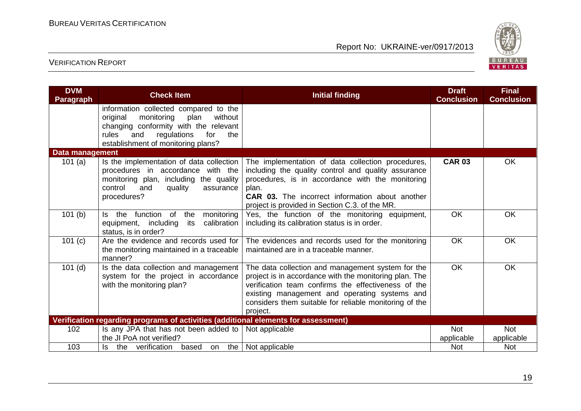

| <b>DVM</b><br><b>Paragraph</b>                                                     | <b>Check Item</b>                                                                                                                                                                                              | <b>Initial finding</b>                                                                                                                                                                                                                                                                    | <b>Draft</b><br><b>Conclusion</b> | <b>Final</b><br><b>Conclusion</b> |  |
|------------------------------------------------------------------------------------|----------------------------------------------------------------------------------------------------------------------------------------------------------------------------------------------------------------|-------------------------------------------------------------------------------------------------------------------------------------------------------------------------------------------------------------------------------------------------------------------------------------------|-----------------------------------|-----------------------------------|--|
|                                                                                    | information collected compared to the<br>original<br>monitoring<br>plan<br>without<br>changing conformity with the relevant<br>rules<br>and<br>regulations<br>for<br>the<br>establishment of monitoring plans? |                                                                                                                                                                                                                                                                                           |                                   |                                   |  |
| Data management                                                                    |                                                                                                                                                                                                                |                                                                                                                                                                                                                                                                                           |                                   |                                   |  |
| 101 $(a)$                                                                          | Is the implementation of data collection<br>procedures in accordance with the<br>monitoring plan, including the quality<br>control<br>and<br>quality<br>assurance<br>procedures?                               | The implementation of data collection procedures,<br>including the quality control and quality assurance<br>procedures, is in accordance with the monitoring<br>plan.<br><b>CAR 03.</b> The incorrect information about another<br>project is provided in Section C.3. of the MR.         | <b>CAR 03</b>                     | <b>OK</b>                         |  |
| 101(b)                                                                             | function of<br>the<br>monitoring<br>the<br>ls.<br>its<br>calibration<br>equipment, including<br>status, is in order?                                                                                           | Yes, the function of the monitoring equipment,<br>including its calibration status is in order.                                                                                                                                                                                           | OK                                | OK                                |  |
| 101 (c)                                                                            | the monitoring maintained in a traceable<br>manner?                                                                                                                                                            | Are the evidence and records used for   The evidences and records used for the monitoring<br>maintained are in a traceable manner.                                                                                                                                                        | OK                                | <b>OK</b>                         |  |
| $101$ (d)                                                                          | Is the data collection and management<br>system for the project in accordance<br>with the monitoring plan?                                                                                                     | The data collection and management system for the<br>project is in accordance with the monitoring plan. The<br>verification team confirms the effectiveness of the<br>existing management and operating systems and<br>considers them suitable for reliable monitoring of the<br>project. | OK                                | <b>OK</b>                         |  |
| Verification regarding programs of activities (additional elements for assessment) |                                                                                                                                                                                                                |                                                                                                                                                                                                                                                                                           |                                   |                                   |  |
| 102                                                                                | Is any JPA that has not been added to $\vert$ Not applicable                                                                                                                                                   |                                                                                                                                                                                                                                                                                           | <b>Not</b>                        | <b>Not</b>                        |  |
|                                                                                    | the JI PoA not verified?                                                                                                                                                                                       |                                                                                                                                                                                                                                                                                           | applicable                        | applicable                        |  |
| 103                                                                                | the verification based<br>ls.<br>on                                                                                                                                                                            | the $ $ Not applicable                                                                                                                                                                                                                                                                    | <b>Not</b>                        | <b>Not</b>                        |  |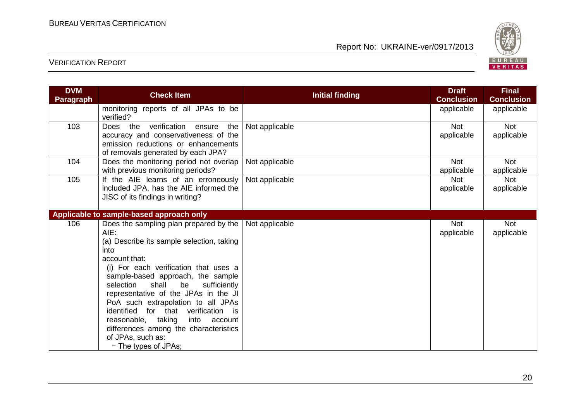

| <b>DVM</b><br><b>Paragraph</b> | <b>Check Item</b>                                                                                                                                                                                                                                                                                                                                                                                                                                                                                  | <b>Initial finding</b> | <b>Draft</b><br><b>Conclusion</b> | <b>Final</b><br><b>Conclusion</b> |
|--------------------------------|----------------------------------------------------------------------------------------------------------------------------------------------------------------------------------------------------------------------------------------------------------------------------------------------------------------------------------------------------------------------------------------------------------------------------------------------------------------------------------------------------|------------------------|-----------------------------------|-----------------------------------|
|                                | monitoring reports of all JPAs to be<br>verified?                                                                                                                                                                                                                                                                                                                                                                                                                                                  |                        | applicable                        | applicable                        |
| 103                            | verification<br>Does the<br>the<br>ensure<br>accuracy and conservativeness of the<br>emission reductions or enhancements<br>of removals generated by each JPA?                                                                                                                                                                                                                                                                                                                                     | Not applicable         | <b>Not</b><br>applicable          | Not<br>applicable                 |
| 104                            | Does the monitoring period not overlap<br>with previous monitoring periods?                                                                                                                                                                                                                                                                                                                                                                                                                        | Not applicable         | <b>Not</b><br>applicable          | <b>Not</b><br>applicable          |
| 105                            | If the AIE learns of an erroneously<br>included JPA, has the AIE informed the<br>JISC of its findings in writing?                                                                                                                                                                                                                                                                                                                                                                                  | Not applicable         | <b>Not</b><br>applicable          | <b>Not</b><br>applicable          |
|                                | Applicable to sample-based approach only                                                                                                                                                                                                                                                                                                                                                                                                                                                           |                        |                                   |                                   |
| 106                            | Does the sampling plan prepared by the<br>AIE:<br>(a) Describe its sample selection, taking<br>into<br>account that:<br>(i) For each verification that uses a<br>sample-based approach, the sample<br>shall<br>sufficiently<br>be<br>selection<br>representative of the JPAs in the JI<br>PoA such extrapolation to all JPAs<br>identified for that verification is<br>reasonable, taking<br>into<br>account<br>differences among the characteristics<br>of JPAs, such as:<br>- The types of JPAs; | Not applicable         | Not<br>applicable                 | Not<br>applicable                 |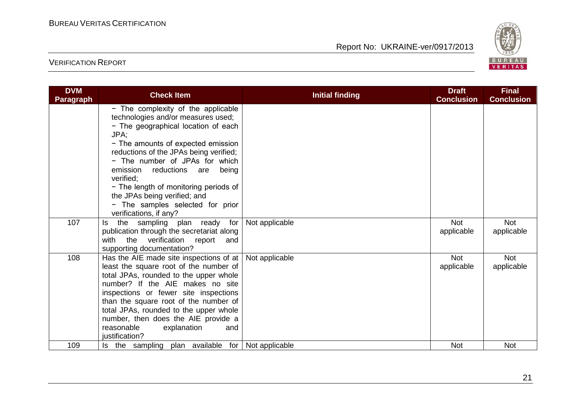

| <b>DVM</b><br>Paragraph | <b>Check Item</b>                                                                                                                                                                                                                                                                                                                                                                                                                 | <b>Initial finding</b> | <b>Draft</b><br><b>Conclusion</b> | <b>Final</b><br><b>Conclusion</b> |
|-------------------------|-----------------------------------------------------------------------------------------------------------------------------------------------------------------------------------------------------------------------------------------------------------------------------------------------------------------------------------------------------------------------------------------------------------------------------------|------------------------|-----------------------------------|-----------------------------------|
|                         | - The complexity of the applicable<br>technologies and/or measures used;<br>- The geographical location of each<br>JPA:<br>- The amounts of expected emission<br>reductions of the JPAs being verified;<br>- The number of JPAs for which<br>emission reductions are<br>being<br>verified:<br>- The length of monitoring periods of<br>the JPAs being verified; and<br>- The samples selected for prior<br>verifications, if any? |                        |                                   |                                   |
| 107                     | the sampling plan ready for<br>ls.<br>publication through the secretariat along<br>with the verification report<br>and<br>supporting documentation?                                                                                                                                                                                                                                                                               | Not applicable         | <b>Not</b><br>applicable          | <b>Not</b><br>applicable          |
| 108                     | Has the AIE made site inspections of at   Not applicable<br>least the square root of the number of<br>total JPAs, rounded to the upper whole<br>number? If the AIE makes no site<br>inspections or fewer site inspections<br>than the square root of the number of<br>total JPAs, rounded to the upper whole<br>number, then does the AIE provide a<br>reasonable<br>explanation<br>and<br>justification?                         |                        | <b>Not</b><br>applicable          | Not<br>applicable                 |
| 109                     | plan available for<br>Is the sampling                                                                                                                                                                                                                                                                                                                                                                                             | Not applicable         | <b>Not</b>                        | <b>Not</b>                        |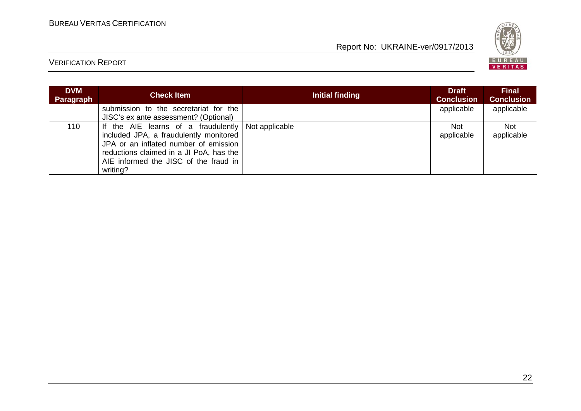

| <b>DVM</b><br><b>Paragraph</b> | <b>Check Item</b>                                                                                                                                                                                                                     | Initial finding | <b>Draft</b><br><b>Conclusion</b> | <b>Final</b><br><b>Conclusion</b> |
|--------------------------------|---------------------------------------------------------------------------------------------------------------------------------------------------------------------------------------------------------------------------------------|-----------------|-----------------------------------|-----------------------------------|
|                                | submission to the secretariat for the<br>JISC's ex ante assessment? (Optional)                                                                                                                                                        |                 | applicable                        | applicable                        |
| 110                            | If the AIE learns of a fraudulently Not applicable<br>included JPA, a fraudulently monitored<br>JPA or an inflated number of emission<br>reductions claimed in a JI PoA, has the<br>AIE informed the JISC of the fraud in<br>writing? |                 | Not<br>applicable                 | <b>Not</b><br>applicable          |